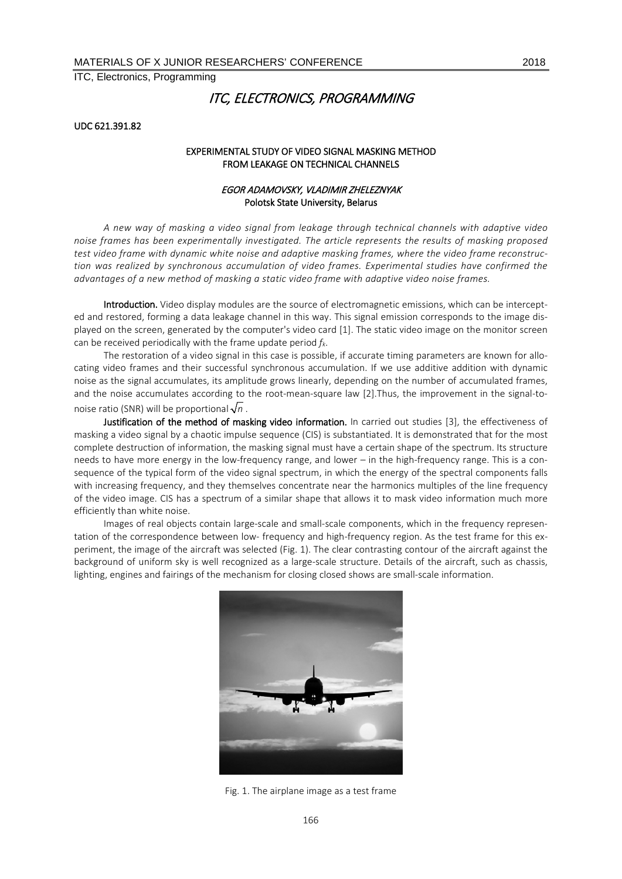# ITC, ELECTRONICS, PROGRAMMING

#### UDC 621.391.82

#### EXPERIMENTAL STUDY OF VIDEO SIGNAL MASKING METHOD FROM LEAKAGE ON TECHNICAL CHANNELS

### EGOR ADAMOVSKY, VLADIMIR ZHELEZNYAK Polotsk State University, Belarus

*A new way of masking a video signal from leakage through technical channels with adaptive video noise frames has been experimentally investigated. The article represents the results of masking proposed test video frame with dynamic white noise and adaptive masking frames, where the video frame reconstruction was realized by synchronous accumulation of video frames. Experimental studies have confirmed the advantages of a new method of masking a static video frame with adaptive video noise frames.*

Introduction. Video display modules are the source of electromagnetic emissions, which can be intercepted and restored, forming a data leakage channel in this way. This signal emission corresponds to the image displayed on the screen, generated by the computer's video card [1]. The static video image on the monitor screen can be received periodically with the frame update period *fk*.

The restoration of a video signal in this case is possible, if accurate timing parameters are known for allocating video frames and their successful synchronous accumulation. If we use additive addition with dynamic noise as the signal accumulates, its amplitude grows linearly, depending on the number of accumulated frames, and the noise accumulates according to the root-mean-square law [2].Thus, the improvement in the signal-tonoise ratio (SNR) will be proportional  $\sqrt{n}$ .

Justification of the method of masking video information. In carried out studies [3], the effectiveness of masking a video signal by a chaotic impulse sequence (CIS) is substantiated. It is demonstrated that for the most complete destruction of information, the masking signal must have a certain shape of the spectrum. Its structure needs to have more energy in the low-frequency range, and lower – in the high-frequency range. This is a consequence of the typical form of the video signal spectrum, in which the energy of the spectral components falls with increasing frequency, and they themselves concentrate near the harmonics multiples of the line frequency of the video image. CIS has a spectrum of a similar shape that allows it to mask video information much more efficiently than white noise.

Images of real objects contain large-scale and small-scale components, which in the frequency representation of the correspondence between low- frequency and high-frequency region. As the test frame for this experiment, the image of the aircraft was selected (Fig. 1). The clear contrasting contour of the aircraft against the background of uniform sky is well recognized as a large-scale structure. Details of the aircraft, such as chassis, lighting, engines and fairings of the mechanism for closing closed shows are small-scale information.



Fig. 1. The airplane image as a test frame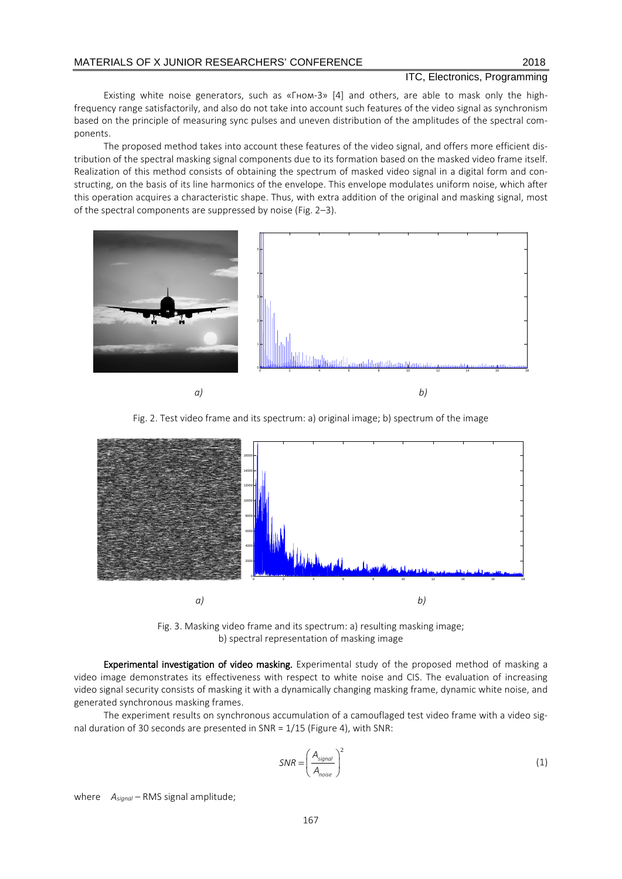Existing white noise generators, such as «Гном-3» [4] and others, are able to mask only the highfrequency range satisfactorily, and also do not take into account such features of the video signal as synchronism based on the principle of measuring sync pulses and uneven distribution of the amplitudes of the spectral components.

The proposed method takes into account these features of the video signal, and offers more efficient distribution of the spectral masking signal components due to its formation based on the masked video frame itself. Realization of this method consists of obtaining the spectrum of masked video signal in a digital form and constructing, on the basis of its line harmonics of the envelope. This envelope modulates uniform noise, which after this operation acquires a characteristic shape. Thus, with extra addition of the original and masking signal, most of the spectral components are suppressed by noise (Fig. 2–3).







Fig. 3. Masking video frame and its spectrum: a) resulting masking image; b) spectral representation of masking image

Experimental investigation of video masking. Experimental study of the proposed method of masking a video image demonstrates its effectiveness with respect to white noise and CIS. The evaluation of increasing video signal security consists of masking it with a dynamically changing masking frame, dynamic white noise, and generated synchronous masking frames.

The experiment results on synchronous accumulation of a camouflaged test video frame with a video signal duration of 30 seconds are presented in SNR = 1/15 (Figure 4), with SNR:

$$
SNR = \left(\frac{A_{signal}}{A_{noise}}\right)^2\tag{1}
$$

where *Аsignal* – RMS signal amplitude;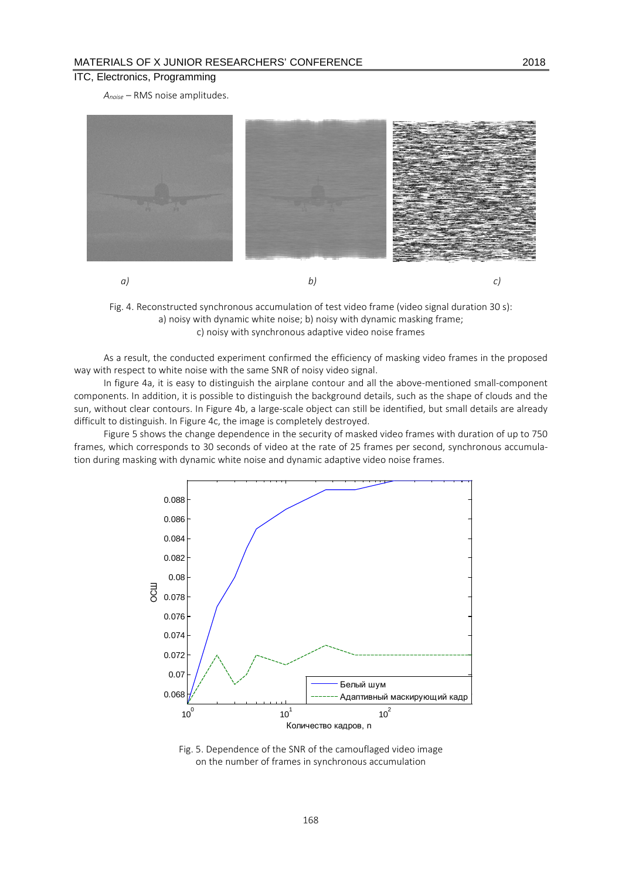*Аnoise* – RMS noise amplitudes.



Fig. 4. Reconstructed synchronous accumulation of test video frame (video signal duration 30 s): a) noisy with dynamic white noise; b) noisy with dynamic masking frame; c) noisy with synchronous adaptive video noise frames

As a result, the conducted experiment confirmed the efficiency of masking video frames in the proposed way with respect to white noise with the same SNR of noisy video signal.

In figure 4a, it is easy to distinguish the airplane contour and all the above-mentioned small-component components. In addition, it is possible to distinguish the background details, such as the shape of clouds and the sun, without clear contours. In Figure 4b, a large-scale object can still be identified, but small details are already difficult to distinguish. In Figure 4c, the image is completely destroyed.

Figure 5 shows the change dependence in the security of masked video frames with duration of up to 750 frames, which corresponds to 30 seconds of video at the rate of 25 frames per second, synchronous accumulation during masking with dynamic white noise and dynamic adaptive video noise frames.